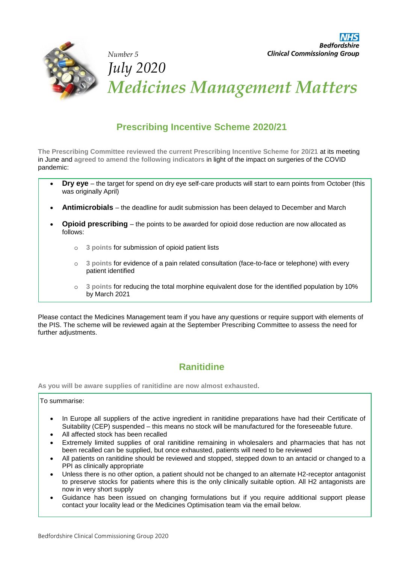

# **Prescribing Incentive Scheme 2020/21**

**The Prescribing Committee reviewed the current Prescribing Incentive Scheme for 20/21** at its meeting in June and **agreed to amend the following indicators** in light of the impact on surgeries of the COVID pandemic:

- **Dry eye** the target for spend on dry eye self-care products will start to earn points from October (this was originally April)
- **Antimicrobials** the deadline for audit submission has been delayed to December and March
- **Opioid prescribing** the points to be awarded for opioid dose reduction are now allocated as follows:
	- o **3 points** for submission of opioid patient lists
	- o **3 points** for evidence of a pain related consultation (face-to-face or telephone) with every patient identified
	- o **3 points** for reducing the total morphine equivalent dose for the identified population by 10% by March 2021

Please contact the Medicines Management team if you have any questions or require support with elements of the PIS. The scheme will be reviewed again at the September Prescribing Committee to assess the need for further adjustments.

## **Ranitidine**

**As you will be aware supplies of ranitidine are now almost exhausted**.

#### To summarise:

- In Europe all suppliers of the active ingredient in ranitidine preparations have had their Certificate of Suitability (CEP) suspended – this means no stock will be manufactured for the foreseeable future.
- All affected stock has been recalled
- Extremely limited supplies of oral ranitidine remaining in wholesalers and pharmacies that has not been recalled can be supplied, but once exhausted, patients will need to be reviewed
- All patients on ranitidine should be reviewed and stopped, stepped down to an antacid or changed to a PPI as clinically appropriate
- Unless there is no other option, a patient should not be changed to an alternate H2-receptor antagonist to preserve stocks for patients where this is the only clinically suitable option. All H2 antagonists are now in very short supply
- Guidance has been issued on changing formulations but if you require additional support please contact your locality lead or the Medicines Optimisation team via the email below.